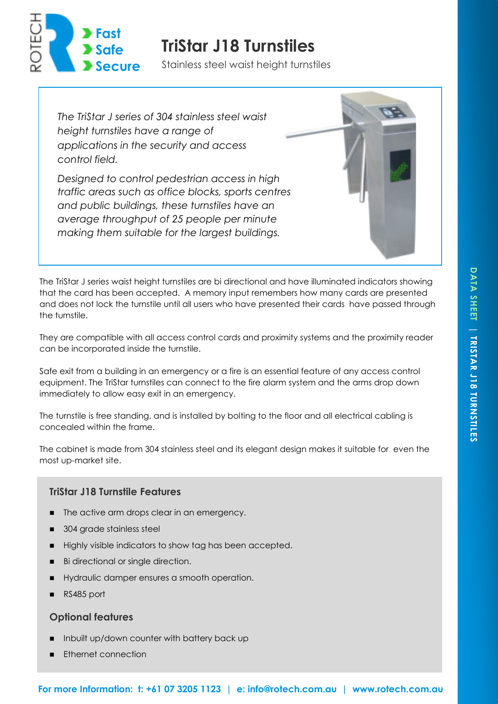

# **TriStar J18 Turnstiles**

Stainless steel waist height turnstiles

*The TriStar J series of 304 stainless steel waist height turnstiles have a range of applications in the security and access control field.* 

*Designed to control pedestrian access in high traffic areas such as office blocks, sports centres and public buildings, these turnstiles have an average throughput of 25 people per minute making them suitable for the largest buildings.* 



The TriStar J series waist height turnstiles are bi directional and have illuminated indicators showing that the card has been accepted. A memory input remembers how many cards are presented and does not lock the turnstile until all users who have presented their cards have passed through the turnstile.

They are compatible with all access control cards and proximity systems and the proximity reader can be incorporated inside the turnstile.

Safe exit from a building in an emergency or a fire is an essential feature of any access control equipment. The TriStar turnstiles can connect to the fire alarm system and the arms drop down immediately to allow easy exit in an emergency.

The turnstile is free standing, and is installed by bolting to the floor and all electrical cabling is concealed within the frame.

The cabinet is made from 304 stainless steel and its elegant design makes it suitable for even the most up-market site.

## **TriStar J18 Turnstile Features**

- The active arm drops clear in an emergency.
- 304 grade stainless steel
- Highly visible indicators to show tag has been accepted.
- Bi directional or single direction.
- Hydraulic damper ensures a smooth operation.
- RS485 port

#### **Optional features**

- ◼ Inbuilt up/down counter with battery back up
- Ethernet connection